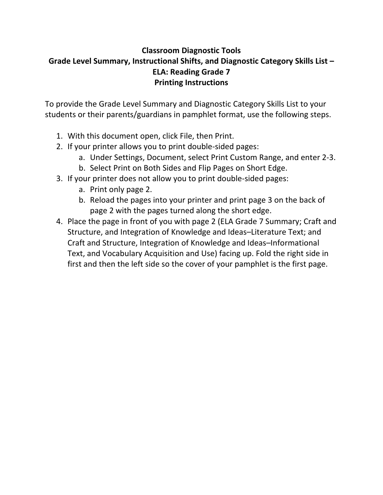# **Classroom Diagnostic Tools Grade Level Summary, Instructional Shifts, and Diagnostic Category Skills List – ELA: Reading Grade 7 Printing Instructions**

To provide the Grade Level Summary and Diagnostic Category Skills List to your students or their parents/guardians in pamphlet format, use the following steps.

- 1. With this document open, click File, then Print.
- 2. If your printer allows you to print double‐sided pages:
	- a. Under Settings, Document, select Print Custom Range, and enter 2‐3.
	- b. Select Print on Both Sides and Flip Pages on Short Edge.
- 3. If your printer does not allow you to print double‐sided pages:
	- a. Print only page 2.
	- b. Reload the pages into your printer and print page 3 on the back of page 2 with the pages turned along the short edge.
- 4. Place the page in front of you with page 2 (ELA Grade 7 Summary; Craft and Structure, and Integration of Knowledge and Ideas–Literature Text; and Craft and Structure, Integration of Knowledge and Ideas–Informational Text, and Vocabulary Acquisition and Use) facing up. Fold the right side in first and then the left side so the cover of your pamphlet is the first page.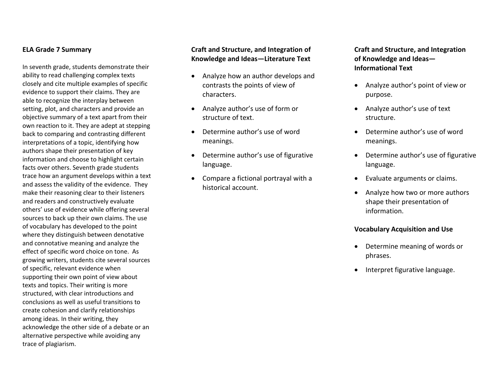#### **ELA Grade 7 Summary**

In seventh grade, students demonstrate their ability to read challenging complex texts closely and cite multiple examples of specific evidence to support their claims. They are able to recognize the interplay between setting, plot, and characters and provide an objective summary of <sup>a</sup> text apart from their own reaction to it. They are adept at stepping back to comparing and contrasting different interpretations of <sup>a</sup> topic, identifying how authors shape their presentation of key information and choose to highlight certain facts over others. Seventh grade students trace how an argument develops within <sup>a</sup> text and assess the validity of the evidence. They make their reasoning clear to their listeners and readers and constructively evaluate others' use of evidence while offering several sources to back up their own claims. The use of vocabulary has developed to the point where they distinguish between denotative and connotative meaning and analyze the effect of specific word choice on tone. As growing writers, students cite several sources of specific, relevant evidence when supporting their own point of view about texts and topics. Their writing is more structured, with clear introductions and conclusions as well as useful transitions tocreate cohesion and clarify relationships among ideas. In their writing, they acknowledge the other side of <sup>a</sup> debate or an alternative perspective while avoiding any trace of plagiarism.

#### **Craft and Structure, and Integration of Knowledge and Ideas—Literature Text**

- $\bullet$  Analyze how an author develops and contrasts the points of view of characters.
- Analyze author's use of form or structure of text.
- . Determine author's use of wordmeanings.
- $\bullet$  Determine author's use of figurative language.
- Compare <sup>a</sup> fictional portrayal with <sup>a</sup> historical account.

**Craft and Structure, and Integration of Knowledge and Ideas— Informational Text**

- Analyze author's point of view or purpose.
- Analyze author's use of text structure.
- $\bullet$  Determine author's use of wordmeanings.
- $\bullet$  Determine author's use of figurative language.
- Evaluate arguments or claims.
- Analyze how two or more authors shape their presentation of information.

#### **Vocabulary Acquisition and Use**

- Determine meaning of words or phrases.
- Interpret figurative language.